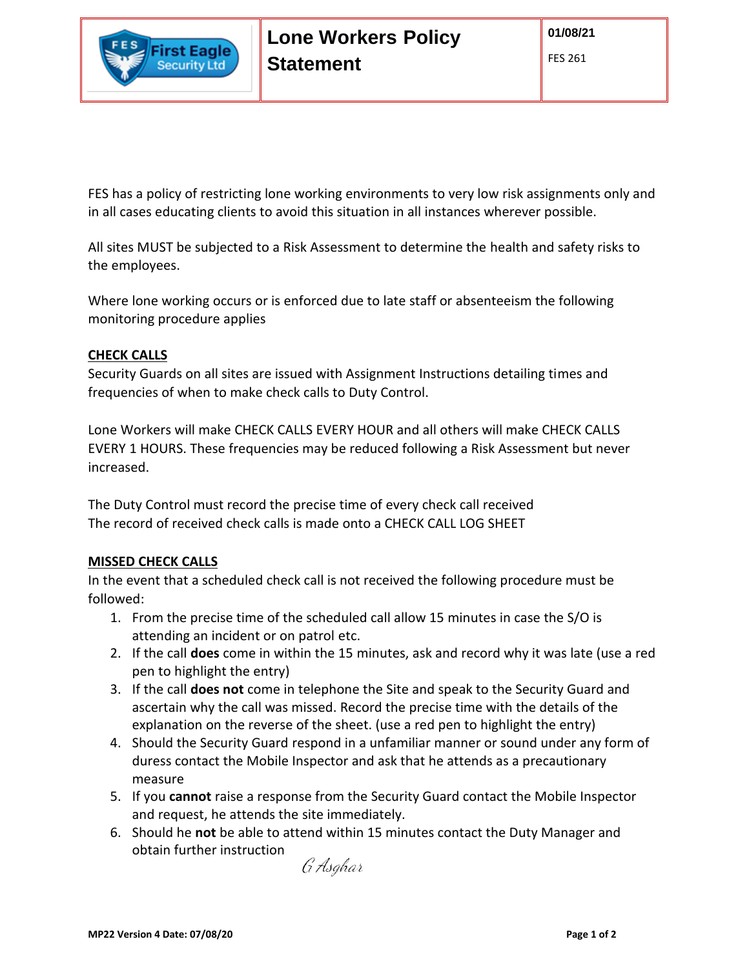

FES has a policy of restricting lone working environments to very low risk assignments only and in all cases educating clients to avoid this situation in all instances wherever possible.

All sites MUST be subjected to a Risk Assessment to determine the health and safety risks to the employees.

Where lone working occurs or is enforced due to late staff or absenteeism the following monitoring procedure applies

## **CHECK CALLS**

Security Guards on all sites are issued with Assignment Instructions detailing times and frequencies of when to make check calls to Duty Control.

Lone Workers will make CHECK CALLS EVERY HOUR and all others will make CHECK CALLS EVERY 1 HOURS. These frequencies may be reduced following a Risk Assessment but never increased.

The Duty Control must record the precise time of every check call received The record of received check calls is made onto a CHECK CALL LOG SHEET

## **MISSED CHECK CALLS**

In the event that a scheduled check call is not received the following procedure must be followed:

- 1. From the precise time of the scheduled call allow 15 minutes in case the S/O is attending an incident or on patrol etc.
- 2. If the call **does** come in within the 15 minutes, ask and record why it was late (use a red pen to highlight the entry)
- 3. If the call **does not** come in telephone the Site and speak to the Security Guard and ascertain why the call was missed. Record the precise time with the details of the explanation on the reverse of the sheet. (use a red pen to highlight the entry)
- 4. Should the Security Guard respond in a unfamiliar manner or sound under any form of duress contact the Mobile Inspector and ask that he attends as a precautionary measure
- 5. If you **cannot** raise a response from the Security Guard contact the Mobile Inspector and request, he attends the site immediately.
- 6. Should he **not** be able to attend within 15 minutes contact the Duty Manager and obtain further instruction

G Asghar